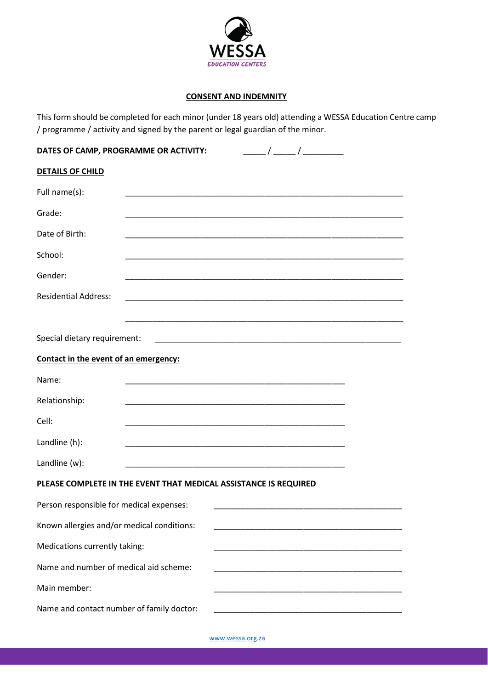

## **CONSENT AND INDEMNITY**

This form should be completed for each minor (under 18 years old) attending a WESSA Education Centre camp / programme / activity and signed by the parent or legal guardian of the minor.

| DATES OF CAMP, PROGRAMME OR ACTIVITY:                            |                                                             |                                                                                                                               | $\frac{1}{2}$ $\frac{1}{2}$ $\frac{1}{2}$ $\frac{1}{2}$ $\frac{1}{2}$ $\frac{1}{2}$ $\frac{1}{2}$ $\frac{1}{2}$ $\frac{1}{2}$ $\frac{1}{2}$ $\frac{1}{2}$ $\frac{1}{2}$ $\frac{1}{2}$ $\frac{1}{2}$ $\frac{1}{2}$ $\frac{1}{2}$ $\frac{1}{2}$ $\frac{1}{2}$ $\frac{1}{2}$ $\frac{1}{2}$ $\frac{1}{2}$ $\frac{1}{2}$ |  |
|------------------------------------------------------------------|-------------------------------------------------------------|-------------------------------------------------------------------------------------------------------------------------------|---------------------------------------------------------------------------------------------------------------------------------------------------------------------------------------------------------------------------------------------------------------------------------------------------------------------|--|
| <b>DETAILS OF CHILD</b>                                          |                                                             |                                                                                                                               |                                                                                                                                                                                                                                                                                                                     |  |
| Full name(s):                                                    |                                                             | <u> 1989 - Johann John Stone, mars et al. 1989 - John Stone, mars et al. 1989 - John Stone, mars et al. 1989 - John Stone</u> |                                                                                                                                                                                                                                                                                                                     |  |
| Grade:                                                           |                                                             | <u> 1989 - Johann John Stone, markin amerikan bisa di sebagai pertama dan bagian dan bagian dan bagian dan bagian</u>         |                                                                                                                                                                                                                                                                                                                     |  |
| Date of Birth:                                                   |                                                             |                                                                                                                               |                                                                                                                                                                                                                                                                                                                     |  |
| School:                                                          |                                                             |                                                                                                                               |                                                                                                                                                                                                                                                                                                                     |  |
| Gender:                                                          |                                                             |                                                                                                                               |                                                                                                                                                                                                                                                                                                                     |  |
| <b>Residential Address:</b>                                      | <u> 1989 - Johann Stoff, amerikansk politiker (d. 1989)</u> |                                                                                                                               |                                                                                                                                                                                                                                                                                                                     |  |
|                                                                  |                                                             |                                                                                                                               |                                                                                                                                                                                                                                                                                                                     |  |
| Special dietary requirement:                                     |                                                             |                                                                                                                               |                                                                                                                                                                                                                                                                                                                     |  |
| Contact in the event of an emergency:                            |                                                             |                                                                                                                               |                                                                                                                                                                                                                                                                                                                     |  |
| Name:                                                            |                                                             | <u> 1989 - Johann John Stone, markin film yn y breninnas yn y breninnas y breninnas y breninnas y breninnas y bre</u>         |                                                                                                                                                                                                                                                                                                                     |  |
| Relationship:                                                    |                                                             |                                                                                                                               |                                                                                                                                                                                                                                                                                                                     |  |
| Cell:                                                            |                                                             |                                                                                                                               |                                                                                                                                                                                                                                                                                                                     |  |
| Landline (h):                                                    |                                                             |                                                                                                                               |                                                                                                                                                                                                                                                                                                                     |  |
| Landline (w):                                                    |                                                             | <u> 1989 - Johann John Stone, market fan it ferskearre fan it ferskearre fan it ferskearre fan it ferskearre fan i</u>        |                                                                                                                                                                                                                                                                                                                     |  |
| PLEASE COMPLETE IN THE EVENT THAT MEDICAL ASSISTANCE IS REQUIRED |                                                             |                                                                                                                               |                                                                                                                                                                                                                                                                                                                     |  |
| Person responsible for medical expenses:                         |                                                             |                                                                                                                               |                                                                                                                                                                                                                                                                                                                     |  |
| Known allergies and/or medical conditions:                       |                                                             |                                                                                                                               | <u> 1980 - Johann Barbara, martxa alemaniar a</u>                                                                                                                                                                                                                                                                   |  |
| Medications currently taking:                                    |                                                             |                                                                                                                               |                                                                                                                                                                                                                                                                                                                     |  |
| Name and number of medical aid scheme:                           |                                                             |                                                                                                                               |                                                                                                                                                                                                                                                                                                                     |  |
| Main member:                                                     |                                                             |                                                                                                                               |                                                                                                                                                                                                                                                                                                                     |  |
| Name and contact number of family doctor:                        |                                                             |                                                                                                                               |                                                                                                                                                                                                                                                                                                                     |  |

[www.wessa.org.za](http://www.wessa.org.za/)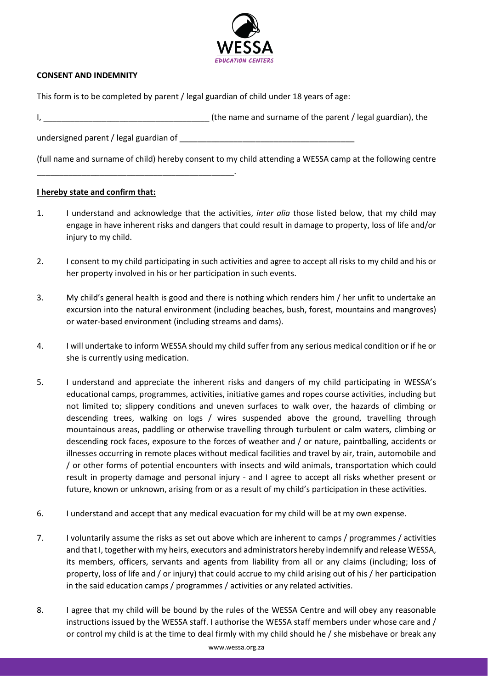

## **CONSENT AND INDEMNITY**

This form is to be completed by parent / legal guardian of child under 18 years of age:

I, \_\_\_\_\_\_\_\_\_\_\_\_\_\_\_\_\_\_\_\_\_\_\_\_\_\_\_\_\_\_\_\_\_\_\_\_\_ (the name and surname of the parent / legal guardian), the

undersigned parent / legal guardian of \_\_\_\_\_\_\_\_\_\_\_\_\_\_\_\_\_\_\_\_\_\_\_\_\_\_\_\_\_\_\_\_\_\_\_\_\_\_\_

(full name and surname of child) hereby consent to my child attending a WESSA camp at the following centre

## **I hereby state and confirm that:**

\_\_\_\_\_\_\_\_\_\_\_\_\_\_\_\_\_\_\_\_\_\_\_\_\_\_\_\_\_\_\_\_\_\_\_\_\_\_\_\_\_\_\_\_.

- 1. I understand and acknowledge that the activities, *inter alia* those listed below, that my child may engage in have inherent risks and dangers that could result in damage to property, loss of life and/or injury to my child.
- 2. I consent to my child participating in such activities and agree to accept all risks to my child and his or her property involved in his or her participation in such events.
- 3. My child's general health is good and there is nothing which renders him / her unfit to undertake an excursion into the natural environment (including beaches, bush, forest, mountains and mangroves) or water-based environment (including streams and dams).
- 4. I will undertake to inform WESSA should my child suffer from any serious medical condition or if he or she is currently using medication.
- 5. I understand and appreciate the inherent risks and dangers of my child participating in WESSA's educational camps, programmes, activities, initiative games and ropes course activities, including but not limited to; slippery conditions and uneven surfaces to walk over, the hazards of climbing or descending trees, walking on logs / wires suspended above the ground, travelling through mountainous areas, paddling or otherwise travelling through turbulent or calm waters, climbing or descending rock faces, exposure to the forces of weather and / or nature, paintballing, accidents or illnesses occurring in remote places without medical facilities and travel by air, train, automobile and / or other forms of potential encounters with insects and wild animals, transportation which could result in property damage and personal injury - and I agree to accept all risks whether present or future, known or unknown, arising from or as a result of my child's participation in these activities.
- 6. I understand and accept that any medical evacuation for my child will be at my own expense.
- 7. I voluntarily assume the risks as set out above which are inherent to camps / programmes / activities and that I, together with my heirs, executors and administrators hereby indemnify and release WESSA, its members, officers, servants and agents from liability from all or any claims (including; loss of property, loss of life and / or injury) that could accrue to my child arising out of his / her participation in the said education camps / programmes / activities or any related activities.
- 8. I agree that my child will be bound by the rules of the WESSA Centre and will obey any reasonable instructions issued by the WESSA staff. I authorise the WESSA staff members under whose care and / or control my child is at the time to deal firmly with my child should he / she misbehave or break any